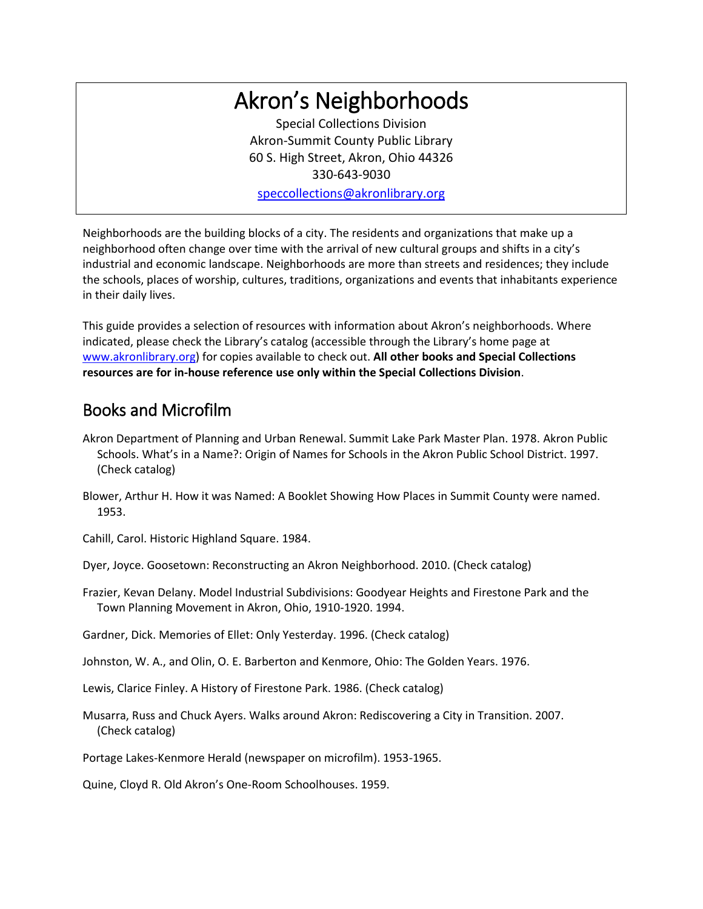# Akron's Neighborhoods

Special Collections Division Akron-Summit County Public Library 60 S. High Street, Akron, Ohio 44326 330-643-9030 [speccollections@akronlibrary.org](mailto:speccollections@akronlibrary.org)

Neighborhoods are the building blocks of a city. The residents and organizations that make up a neighborhood often change over time with the arrival of new cultural groups and shifts in a city's industrial and economic landscape. Neighborhoods are more than streets and residences; they include the schools, places of worship, cultures, traditions, organizations and events that inhabitants experience in their daily lives.

This guide provides a selection of resources with information about Akron's neighborhoods. Where indicated, please check the Library's catalog (accessible through the Library's home page at [www.akronlibrary.org\)](http://www.akronlibrary.org/) for copies available to check out. **All other books and Special Collections resources are for in-house reference use only within the Special Collections Division**.

# Books and Microfilm

- Akron Department of Planning and Urban Renewal. Summit Lake Park Master Plan. 1978. Akron Public Schools. What's in a Name?: Origin of Names for Schools in the Akron Public School District. 1997. (Check catalog)
- Blower, Arthur H. How it was Named: A Booklet Showing How Places in Summit County were named. 1953.

Cahill, Carol. Historic Highland Square. 1984.

Dyer, Joyce. Goosetown: Reconstructing an Akron Neighborhood. 2010. (Check catalog)

Frazier, Kevan Delany. Model Industrial Subdivisions: Goodyear Heights and Firestone Park and the Town Planning Movement in Akron, Ohio, 1910-1920. 1994.

Gardner, Dick. Memories of Ellet: Only Yesterday. 1996. (Check catalog)

Johnston, W. A., and Olin, O. E. Barberton and Kenmore, Ohio: The Golden Years. 1976.

Lewis, Clarice Finley. A History of Firestone Park. 1986. (Check catalog)

Musarra, Russ and Chuck Ayers. Walks around Akron: Rediscovering a City in Transition. 2007. (Check catalog)

Portage Lakes-Kenmore Herald (newspaper on microfilm). 1953-1965.

Quine, Cloyd R. Old Akron's One-Room Schoolhouses. 1959.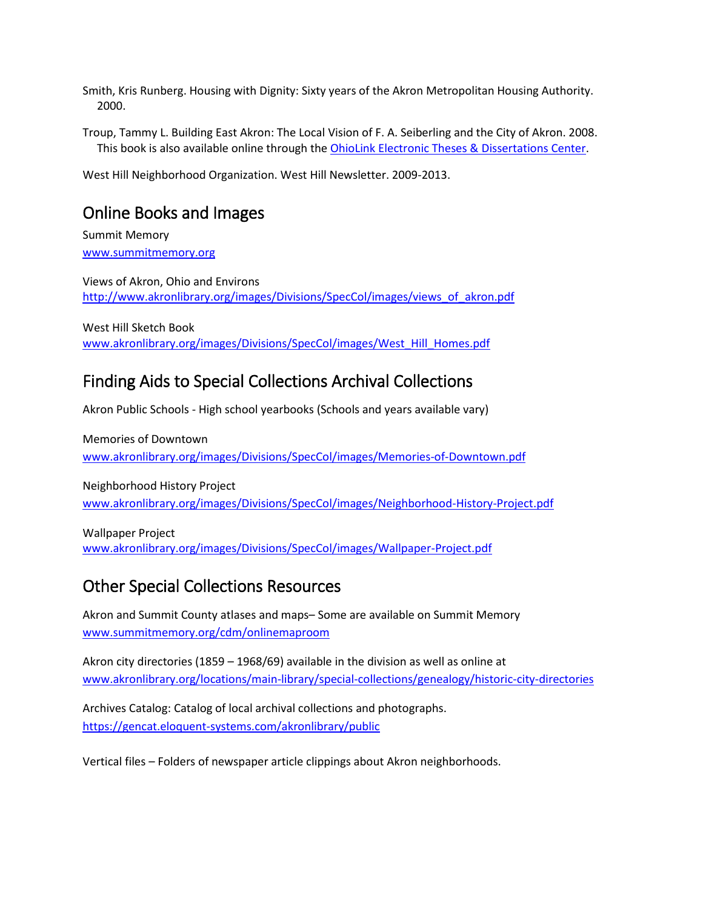Smith, Kris Runberg. Housing with Dignity: Sixty years of the Akron Metropolitan Housing Authority. 2000.

Troup, Tammy L. Building East Akron: The Local Vision of F. A. Seiberling and the City of Akron. 2008. This book is also available online through th[e OhioLink Electronic Theses &](https://etd.ohiolink.edu/pg_10?0::NO:10:P10_ACCESSION_NUM:ysu1210785106) Dissertations Center.

West Hill Neighborhood Organization. West Hill Newsletter. 2009-2013.

### Online Books and Images

Summit Memory [www.summitmemory.org](http://www.summitmemory.org/)

Views of Akron, Ohio and Environs [http://www.akronlibrary.org/images/Divisions/SpecCol/images/views\\_of\\_akron.pdf](http://www.akronlibrary.org/images/Divisions/SpecCol/images/views_of_akron.pdf) 

West Hill Sketch Book [www.akronlibrary.org/images/Divisions/SpecCol/images/West\\_Hill\\_Homes.pdf](http://www.akronlibrary.org/images/Divisions/SpecCol/images/West_Hill_Homes.pdf)

#### Finding Aids to Special Collections Archival Collections

Akron Public Schools - High school yearbooks (Schools and years available vary)

Memories of Downtown [www.akronlibrary.org/images/Divisions/SpecCol/images/Memories-of-Downtown.pdf](http://www.akronlibrary.org/images/Divisions/SpecCol/images/Memories-of-Downtown.pdf)

Neighborhood History Project [www.akronlibrary.org/images/Divisions/SpecCol/images/Neighborhood-History-Project.pdf](http://www.akronlibrary.org/images/Divisions/SpecCol/images/Neighborhood-History-Project.pdf)

Wallpaper Project [www.akronlibrary.org/images/Divisions/SpecCol/images/Wallpaper-Project.pdf](http://www.akronlibrary.org/images/Divisions/SpecCol/images/Wallpaper-Project.pdf)

## Other Special Collections Resources

Akron and Summit County atlases and maps– Some are available on Summit Memory [www.summitmemory.org/cdm/onlinemaproom](http://www.summitmemory.org/cdm/onlinemaproom)

Akron city directories (1859 – 1968/69) available in the division as well as online at [www.akronlibrary.org/locations/main-library/special-collections/genealogy/historic-city-directories](http://www.akronlibrary.org/locations/main-library/special-collections/genealogy/historic-city-directories)

Archives Catalog: Catalog of local archival collections and photographs. <https://gencat.eloquent-systems.com/akronlibrary/public>

Vertical files – Folders of newspaper article clippings about Akron neighborhoods.